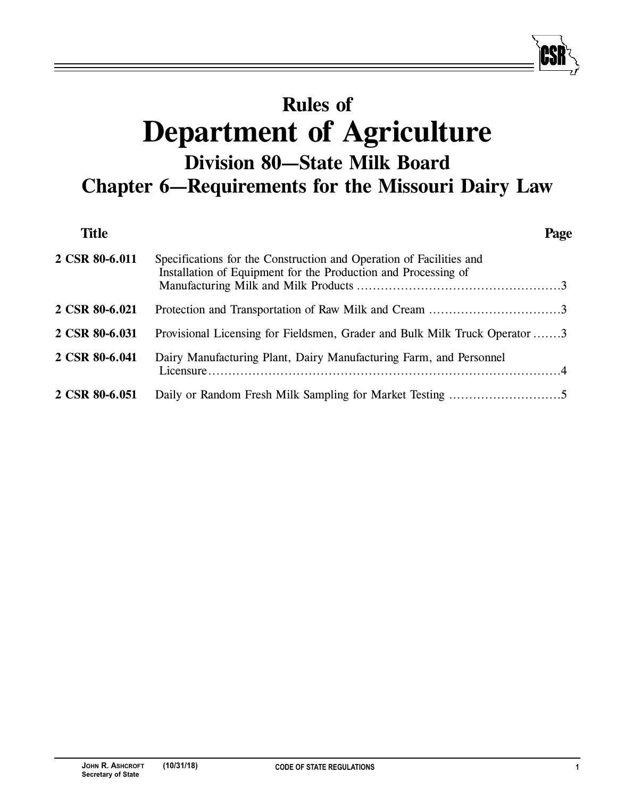# **Rules of Department of Agriculture Division 80—State Milk Board Chapter 6—Requirements for the Missouri Dairy Law**

| <b>Title</b>   |                                                                                                                                       | Page |
|----------------|---------------------------------------------------------------------------------------------------------------------------------------|------|
| 2 CSR 80-6.011 | Specifications for the Construction and Operation of Facilities and<br>Installation of Equipment for the Production and Processing of |      |
| 2 CSR 80-6.021 |                                                                                                                                       |      |
| 2 CSR 80-6.031 | Provisional Licensing for Fieldsmen, Grader and Bulk Milk Truck Operator 3                                                            |      |
| 2 CSR 80-6.041 | Dairy Manufacturing Plant, Dairy Manufacturing Farm, and Personnel                                                                    |      |
| 2 CSR 80-6.051 |                                                                                                                                       |      |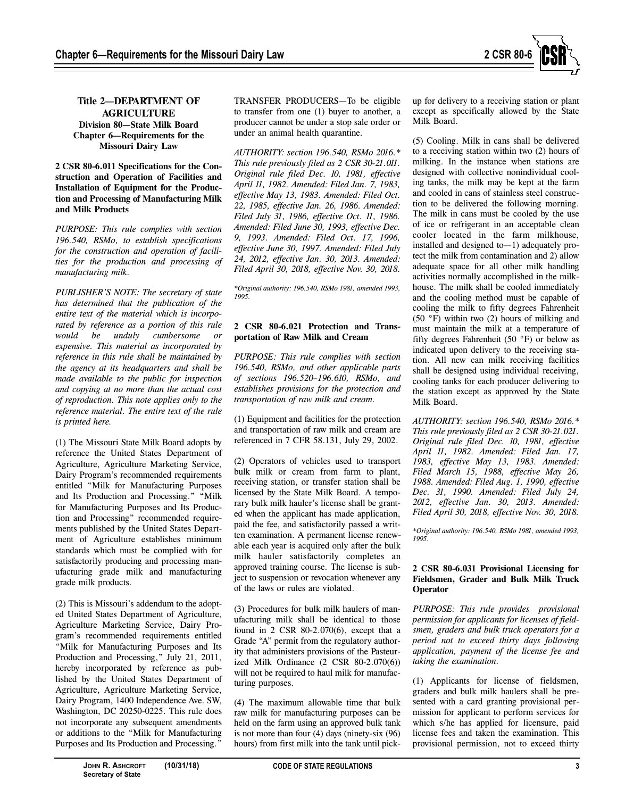

## **Title 2—DEPARTMENT OF AGRICULTURE Division 80—State Milk Board Chapter 6—Requirements for the Missouri Dairy Law**

#### **2 CSR 80-6.011 Specifications for the Construction and Operation of Facilities and Installation of Equipment for the Production and Processing of Manufacturing Milk and Milk Products**

*PURPOSE: This rule complies with section 196.540, RSMo, to establish specifications for the construction and operation of facilities for the production and processing of manufacturing milk.*

*PUBLISHER'S NOTE: The secretary of state has determined that the publication of the entire text of the material which is incorporated by reference as a portion of this rule would be unduly cumbersome or expensive. This material as incorporated by reference in this rule shall be maintained by the agency at its headquarters and shall be made available to the public for inspection and copying at no more than the actual cost of reproduction. This note applies only to the reference material. The entire text of the rule is printed here.*

(1) The Missouri State Milk Board adopts by reference the United States Department of Agriculture, Agriculture Marketing Service, Dairy Program's recommended requirements entitled "Milk for Manufacturing Purposes and Its Production and Processing." "Milk for Manufacturing Purposes and Its Production and Processing" recommended requirements published by the United States Department of Agriculture establishes minimum standards which must be complied with for satisfactorily producing and processing manufacturing grade milk and manufacturing grade milk products.

(2) This is Missouri's addendum to the adopted United States Department of Agriculture, Agriculture Marketing Service, Dairy Program's recommended requirements entitled "Milk for Manufacturing Purposes and Its Production and Processing," July 21, 2011, hereby incorporated by reference as published by the United States Department of Agriculture, Agriculture Marketing Service, Dairy Program, 1400 Independence Ave. SW, Washington, DC 20250-0225. This rule does not incorporate any subsequent amendments or additions to the "Milk for Manufacturing Purposes and Its Production and Processing."

TRANSFER PRODUCERS—To be eligible to transfer from one (1) buyer to another, a producer cannot be under a stop sale order or under an animal health quarantine.

*AUTHORITY: section 196.540, RSMo 2016.\* This rule previously filed as 2 CSR 30-21.011. Original rule filed Dec. 10, 1981, effective April 11, 1982. Amended: Filed Jan. 7, 1983, effective May 13, 1983. Amended: Filed Oct. 22, 1985, effective Jan. 26, 1986. Amended: Filed July 31, 1986, effective Oct. 11, 1986. Amended: Filed June 30, 1993, effective Dec. 9, 1993. Amended: Filed Oct. 17, 1996, effective June 30, 1997. Amended: Filed July 24, 2012, effective Jan. 30, 2013. Amended: Filed April 30, 2018, effective Nov. 30, 2018.*

*\*Original authority: 196.540, RSMo 1981, amended 1993, 1995.*

## **2 CSR 80-6.021 Protection and Transportation of Raw Milk and Cream**

*PURPOSE: This rule complies with section 196.540, RSMo, and other applicable parts of sections 196.520–196.610, RSMo, and establishes provisions for the protection and transportation of raw milk and cream.*

(1) Equipment and facilities for the protection and transportation of raw milk and cream are referenced in 7 CFR 58.131, July 29, 2002.

(2) Operators of vehicles used to transport bulk milk or cream from farm to plant, receiving station, or transfer station shall be licensed by the State Milk Board. A temporary bulk milk hauler's license shall be granted when the applicant has made application, paid the fee, and satisfactorily passed a written examination. A permanent license renewable each year is acquired only after the bulk milk hauler satisfactorily completes an approved training course. The license is subject to suspension or revocation whenever any of the laws or rules are violated.

(3) Procedures for bulk milk haulers of manufacturing milk shall be identical to those found in 2 CSR 80-2.070(6), except that a Grade "A" permit from the regulatory authority that administers provisions of the Pasteurized Milk Ordinance (2 CSR 80-2.070(6)) will not be required to haul milk for manufacturing purposes.

(4) The maximum allowable time that bulk raw milk for manufacturing purposes can be held on the farm using an approved bulk tank is not more than four (4) days (ninety-six (96) hours) from first milk into the tank until pickup for delivery to a receiving station or plant except as specifically allowed by the State Milk Board.

(5) Cooling. Milk in cans shall be delivered to a receiving station within two (2) hours of milking. In the instance when stations are designed with collective nonindividual cooling tanks, the milk may be kept at the farm and cooled in cans of stainless steel construction to be delivered the following morning. The milk in cans must be cooled by the use of ice or refrigerant in an acceptable clean cooler located in the farm milkhouse, installed and designed to—1) adequately protect the milk from contamination and 2) allow adequate space for all other milk handling activities normally accomplished in the milkhouse. The milk shall be cooled immediately and the cooling method must be capable of cooling the milk to fifty degrees Fahrenheit (50 °F) within two (2) hours of milking and must maintain the milk at a temperature of fifty degrees Fahrenheit (50 °F) or below as indicated upon delivery to the receiving station. All new can milk receiving facilities shall be designed using individual receiving, cooling tanks for each producer delivering to the station except as approved by the State Milk Board.

*AUTHORITY: section 196.540, RSMo 2016.\* This rule previously filed as 2 CSR 30-21.021. Original rule filed Dec. 10, 1981, effective April 11, 1982. Amended: Filed Jan. 17, 1983, effective May 13, 1983. Amended: Filed March 15, 1988, effective May 26, 1988. Amended: Filed Aug. 1, 1990, effective Dec. 31, 1990. Amended: Filed July 24, 2012, effective Jan. 30, 2013. Amended: Filed April 30, 2018, effective Nov. 30, 2018.*

*\*Original authority: 196.540, RSMo 1981, amended 1993, 1995.*

## **2 CSR 80-6.031 Provisional Licensing for Fieldsmen, Grader and Bulk Milk Truck Operator**

*PURPOSE: This rule provides provisional permission for applicants for licenses of fieldsmen, graders and bulk truck operators for a period not to exceed thirty days following application, payment of the license fee and taking the examination.*

(1) Applicants for license of fieldsmen, graders and bulk milk haulers shall be presented with a card granting provisional permission for applicant to perform services for which s/he has applied for licensure, paid license fees and taken the examination. This provisional permission, not to exceed thirty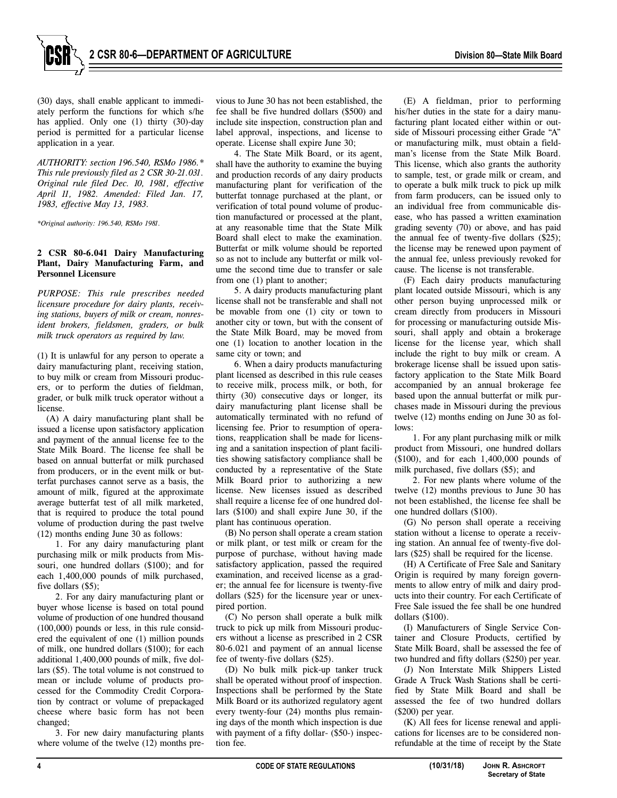

(30) days, shall enable applicant to immediately perform the functions for which s/he has applied. Only one (1) thirty (30)-day period is permitted for a particular license application in a year.

*AUTHORITY: section 196.540, RSMo 1986.\* This rule previously filed as 2 CSR 30-21.031. Original rule filed Dec. 10, 1981, effective April 11, 1982. Amended: Filed Jan. 17, 1983, effective May 13, 1983.*

*\*Original authority: 196.540, RSMo 1981.*

#### **2 CSR 80-6.041 Dairy Manufacturing Plant, Dairy Manufacturing Farm, and Personnel Licensure**

*PURPOSE: This rule prescribes needed licensure procedure for dairy plants, receiving stations, buyers of milk or cream, nonresident brokers, fieldsmen, graders, or bulk milk truck operators as required by law.*

(1) It is unlawful for any person to operate a dairy manufacturing plant, receiving station, to buy milk or cream from Missouri producers, or to perform the duties of fieldman, grader, or bulk milk truck operator without a license.

(A) A dairy manufacturing plant shall be issued a license upon satisfactory application and payment of the annual license fee to the State Milk Board. The license fee shall be based on annual butterfat or milk purchased from producers, or in the event milk or butterfat purchases cannot serve as a basis, the amount of milk, figured at the approximate average butterfat test of all milk marketed, that is required to produce the total pound volume of production during the past twelve (12) months ending June 30 as follows:

1. For any dairy manufacturing plant purchasing milk or milk products from Missouri, one hundred dollars (\$100); and for each 1,400,000 pounds of milk purchased, five dollars (\$5);

2. For any dairy manufacturing plant or buyer whose license is based on total pound volume of production of one hundred thousand (100,000) pounds or less, in this rule considered the equivalent of one (1) million pounds of milk, one hundred dollars (\$100); for each additional 1,400,000 pounds of milk, five dollars (\$5). The total volume is not construed to mean or include volume of products processed for the Commodity Credit Corporation by contract or volume of prepackaged cheese where basic form has not been changed;

3. For new dairy manufacturing plants where volume of the twelve  $(12)$  months previous to June 30 has not been established, the fee shall be five hundred dollars (\$500) and include site inspection, construction plan and label approval, inspections, and license to operate. License shall expire June 30;

4. The State Milk Board, or its agent, shall have the authority to examine the buying and production records of any dairy products manufacturing plant for verification of the butterfat tonnage purchased at the plant, or verification of total pound volume of production manufactured or processed at the plant, at any reasonable time that the State Milk Board shall elect to make the examination. Butterfat or milk volume should be reported so as not to include any butterfat or milk volume the second time due to transfer or sale from one (1) plant to another;

5. A dairy products manufacturing plant license shall not be transferable and shall not be movable from one (1) city or town to another city or town, but with the consent of the State Milk Board, may be moved from one (1) location to another location in the same city or town; and

6. When a dairy products manufacturing plant licensed as described in this rule ceases to receive milk, process milk, or both, for thirty (30) consecutive days or longer, its dairy manufacturing plant license shall be automatically terminated with no refund of licensing fee. Prior to resumption of operations, reapplication shall be made for licensing and a sanitation inspection of plant facilities showing satisfactory compliance shall be conducted by a representative of the State Milk Board prior to authorizing a new license. New licenses issued as described shall require a license fee of one hundred dollars (\$100) and shall expire June 30, if the plant has continuous operation.

(B) No person shall operate a cream station or milk plant, or test milk or cream for the purpose of purchase, without having made satisfactory application, passed the required examination, and received license as a grader; the annual fee for licensure is twenty-five dollars (\$25) for the licensure year or unexpired portion.

(C) No person shall operate a bulk milk truck to pick up milk from Missouri producers without a license as prescribed in 2 CSR 80-6.021 and payment of an annual license fee of twenty-five dollars (\$25).

(D) No bulk milk pick-up tanker truck shall be operated without proof of inspection. Inspections shall be performed by the State Milk Board or its authorized regulatory agent every twenty-four (24) months plus remaining days of the month which inspection is due with payment of a fifty dollar- (\$50-) inspection fee.

(E) A fieldman, prior to performing his/her duties in the state for a dairy manufacturing plant located either within or outside of Missouri processing either Grade "A" or manufacturing milk, must obtain a fieldman's license from the State Milk Board. This license, which also grants the authority to sample, test, or grade milk or cream, and to operate a bulk milk truck to pick up milk from farm producers, can be issued only to an individual free from communicable disease, who has passed a written examination grading seventy (70) or above, and has paid the annual fee of twenty-five dollars (\$25); the license may be renewed upon payment of the annual fee, unless previously revoked for cause. The license is not transferable.

(F) Each dairy products manufacturing plant located outside Missouri, which is any other person buying unprocessed milk or cream directly from producers in Missouri for processing or manufacturing outside Missouri, shall apply and obtain a brokerage license for the license year, which shall include the right to buy milk or cream. A brokerage license shall be issued upon satisfactory application to the State Milk Board accompanied by an annual brokerage fee based upon the annual butterfat or milk purchases made in Missouri during the previous twelve (12) months ending on June 30 as follows:

1. For any plant purchasing milk or milk product from Missouri, one hundred dollars (\$100), and for each 1,400,000 pounds of milk purchased, five dollars (\$5); and

2. For new plants where volume of the twelve (12) months previous to June 30 has not been established, the license fee shall be one hundred dollars (\$100).

(G) No person shall operate a receiving station without a license to operate a receiving station. An annual fee of twenty-five dollars (\$25) shall be required for the license.

(H) A Certificate of Free Sale and Sanitary Origin is required by many foreign governments to allow entry of milk and dairy products into their country. For each Certificate of Free Sale issued the fee shall be one hundred dollars (\$100).

(I) Manufacturers of Single Service Container and Closure Products, certified by State Milk Board, shall be assessed the fee of two hundred and fifty dollars (\$250) per year.

(J) Non Interstate Milk Shippers Listed Grade A Truck Wash Stations shall be certified by State Milk Board and shall be assessed the fee of two hundred dollars (\$200) per year.

(K) All fees for license renewal and applications for licenses are to be considered nonrefundable at the time of receipt by the State